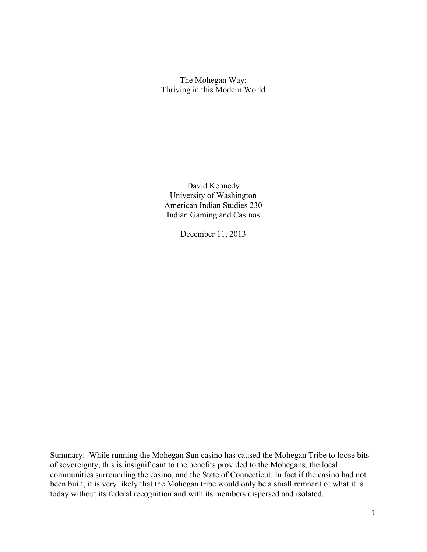The Mohegan Way: Thriving in this Modern World

David Kennedy University of Washington American Indian Studies 230 Indian Gaming and Casinos

December 11, 2013

Summary: While running the Mohegan Sun casino has caused the Mohegan Tribe to loose bits of sovereignty, this is insignificant to the benefits provided to the Mohegans, the local communities surrounding the casino, and the State of Connecticut. In fact if the casino had not been built, it is very likely that the Mohegan tribe would only be a small remnant of what it is today without its federal recognition and with its members dispersed and isolated.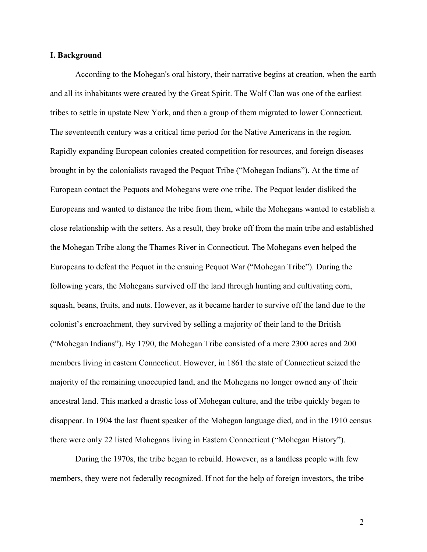## **I. Background**

According to the Mohegan's oral history, their narrative begins at creation, when the earth and all its inhabitants were created by the Great Spirit. The Wolf Clan was one of the earliest tribes to settle in upstate New York, and then a group of them migrated to lower Connecticut. The seventeenth century was a critical time period for the Native Americans in the region. Rapidly expanding European colonies created competition for resources, and foreign diseases brought in by the colonialists ravaged the Pequot Tribe ("Mohegan Indians"). At the time of European contact the Pequots and Mohegans were one tribe. The Pequot leader disliked the Europeans and wanted to distance the tribe from them, while the Mohegans wanted to establish a close relationship with the setters. As a result, they broke off from the main tribe and established the Mohegan Tribe along the Thames River in Connecticut. The Mohegans even helped the Europeans to defeat the Pequot in the ensuing Pequot War ("Mohegan Tribe"). During the following years, the Mohegans survived off the land through hunting and cultivating corn, squash, beans, fruits, and nuts. However, as it became harder to survive off the land due to the colonist's encroachment, they survived by selling a majority of their land to the British ("Mohegan Indians"). By 1790, the Mohegan Tribe consisted of a mere 2300 acres and 200 members living in eastern Connecticut. However, in 1861 the state of Connecticut seized the majority of the remaining unoccupied land, and the Mohegans no longer owned any of their ancestral land. This marked a drastic loss of Mohegan culture, and the tribe quickly began to disappear. In 1904 the last fluent speaker of the Mohegan language died, and in the 1910 census there were only 22 listed Mohegans living in Eastern Connecticut ("Mohegan History").

During the 1970s, the tribe began to rebuild. However, as a landless people with few members, they were not federally recognized. If not for the help of foreign investors, the tribe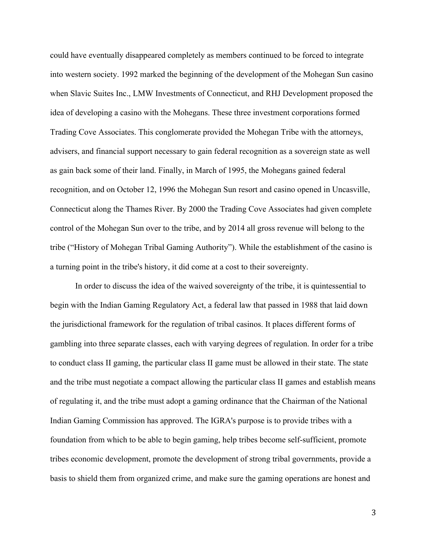could have eventually disappeared completely as members continued to be forced to integrate into western society. 1992 marked the beginning of the development of the Mohegan Sun casino when Slavic Suites Inc., LMW Investments of Connecticut, and RHJ Development proposed the idea of developing a casino with the Mohegans. These three investment corporations formed Trading Cove Associates. This conglomerate provided the Mohegan Tribe with the attorneys, advisers, and financial support necessary to gain federal recognition as a sovereign state as well as gain back some of their land. Finally, in March of 1995, the Mohegans gained federal recognition, and on October 12, 1996 the Mohegan Sun resort and casino opened in Uncasville, Connecticut along the Thames River. By 2000 the Trading Cove Associates had given complete control of the Mohegan Sun over to the tribe, and by 2014 all gross revenue will belong to the tribe ("History of Mohegan Tribal Gaming Authority"). While the establishment of the casino is a turning point in the tribe's history, it did come at a cost to their sovereignty.

In order to discuss the idea of the waived sovereignty of the tribe, it is quintessential to begin with the Indian Gaming Regulatory Act, a federal law that passed in 1988 that laid down the jurisdictional framework for the regulation of tribal casinos. It places different forms of gambling into three separate classes, each with varying degrees of regulation. In order for a tribe to conduct class II gaming, the particular class II game must be allowed in their state. The state and the tribe must negotiate a compact allowing the particular class II games and establish means of regulating it, and the tribe must adopt a gaming ordinance that the Chairman of the National Indian Gaming Commission has approved. The IGRA's purpose is to provide tribes with a foundation from which to be able to begin gaming, help tribes become self-sufficient, promote tribes economic development, promote the development of strong tribal governments, provide a basis to shield them from organized crime, and make sure the gaming operations are honest and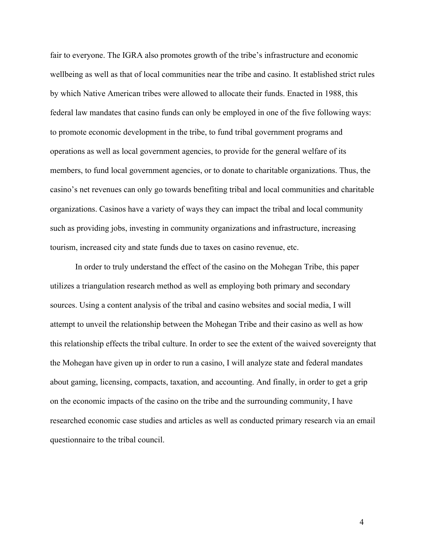fair to everyone. The IGRA also promotes growth of the tribe's infrastructure and economic wellbeing as well as that of local communities near the tribe and casino. It established strict rules by which Native American tribes were allowed to allocate their funds. Enacted in 1988, this federal law mandates that casino funds can only be employed in one of the five following ways: to promote economic development in the tribe, to fund tribal government programs and operations as well as local government agencies, to provide for the general welfare of its members, to fund local government agencies, or to donate to charitable organizations. Thus, the casino's net revenues can only go towards benefiting tribal and local communities and charitable organizations. Casinos have a variety of ways they can impact the tribal and local community such as providing jobs, investing in community organizations and infrastructure, increasing tourism, increased city and state funds due to taxes on casino revenue, etc.

In order to truly understand the effect of the casino on the Mohegan Tribe, this paper utilizes a triangulation research method as well as employing both primary and secondary sources. Using a content analysis of the tribal and casino websites and social media, I will attempt to unveil the relationship between the Mohegan Tribe and their casino as well as how this relationship effects the tribal culture. In order to see the extent of the waived sovereignty that the Mohegan have given up in order to run a casino, I will analyze state and federal mandates about gaming, licensing, compacts, taxation, and accounting. And finally, in order to get a grip on the economic impacts of the casino on the tribe and the surrounding community, I have researched economic case studies and articles as well as conducted primary research via an email questionnaire to the tribal council.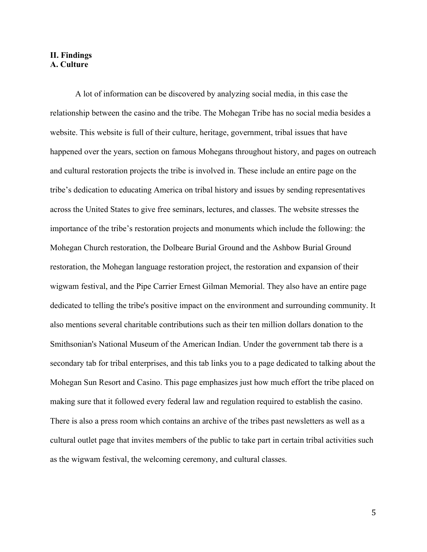# **II. Findings A. Culture**

A lot of information can be discovered by analyzing social media, in this case the relationship between the casino and the tribe. The Mohegan Tribe has no social media besides a website. This website is full of their culture, heritage, government, tribal issues that have happened over the years, section on famous Mohegans throughout history, and pages on outreach and cultural restoration projects the tribe is involved in. These include an entire page on the tribe's dedication to educating America on tribal history and issues by sending representatives across the United States to give free seminars, lectures, and classes. The website stresses the importance of the tribe's restoration projects and monuments which include the following: the Mohegan Church restoration, the Dolbeare Burial Ground and the Ashbow Burial Ground restoration, the Mohegan language restoration project, the restoration and expansion of their wigwam festival, and the Pipe Carrier Ernest Gilman Memorial. They also have an entire page dedicated to telling the tribe's positive impact on the environment and surrounding community. It also mentions several charitable contributions such as their ten million dollars donation to the Smithsonian's National Museum of the American Indian. Under the government tab there is a secondary tab for tribal enterprises, and this tab links you to a page dedicated to talking about the Mohegan Sun Resort and Casino. This page emphasizes just how much effort the tribe placed on making sure that it followed every federal law and regulation required to establish the casino. There is also a press room which contains an archive of the tribes past newsletters as well as a cultural outlet page that invites members of the public to take part in certain tribal activities such as the wigwam festival, the welcoming ceremony, and cultural classes.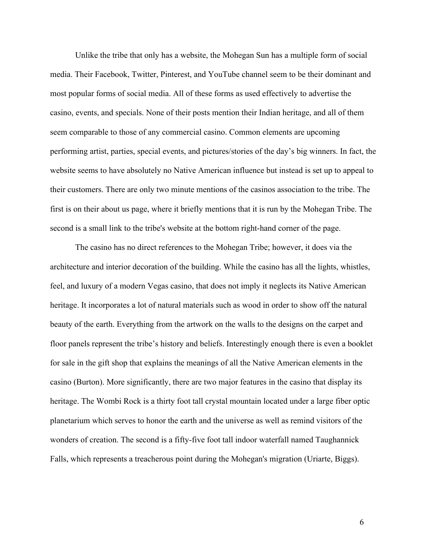Unlike the tribe that only has a website, the Mohegan Sun has a multiple form of social media. Their Facebook, Twitter, Pinterest, and YouTube channel seem to be their dominant and most popular forms of social media. All of these forms as used effectively to advertise the casino, events, and specials. None of their posts mention their Indian heritage, and all of them seem comparable to those of any commercial casino. Common elements are upcoming performing artist, parties, special events, and pictures/stories of the day's big winners. In fact, the website seems to have absolutely no Native American influence but instead is set up to appeal to their customers. There are only two minute mentions of the casinos association to the tribe. The first is on their about us page, where it briefly mentions that it is run by the Mohegan Tribe. The second is a small link to the tribe's website at the bottom right-hand corner of the page.

The casino has no direct references to the Mohegan Tribe; however, it does via the architecture and interior decoration of the building. While the casino has all the lights, whistles, feel, and luxury of a modern Vegas casino, that does not imply it neglects its Native American heritage. It incorporates a lot of natural materials such as wood in order to show off the natural beauty of the earth. Everything from the artwork on the walls to the designs on the carpet and floor panels represent the tribe's history and beliefs. Interestingly enough there is even a booklet for sale in the gift shop that explains the meanings of all the Native American elements in the casino (Burton). More significantly, there are two major features in the casino that display its heritage. The Wombi Rock is a thirty foot tall crystal mountain located under a large fiber optic planetarium which serves to honor the earth and the universe as well as remind visitors of the wonders of creation. The second is a fifty-five foot tall indoor waterfall named Taughannick Falls, which represents a treacherous point during the Mohegan's migration (Uriarte, Biggs).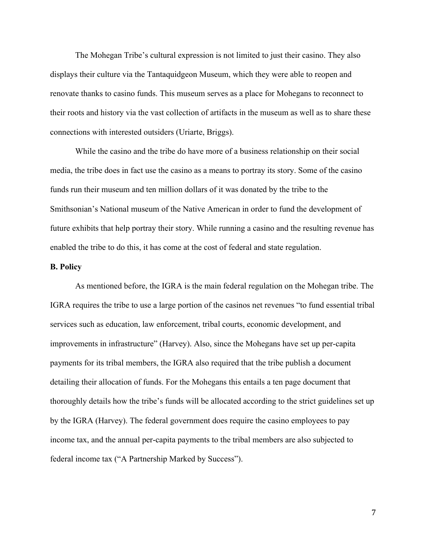The Mohegan Tribe's cultural expression is not limited to just their casino. They also displays their culture via the Tantaquidgeon Museum, which they were able to reopen and renovate thanks to casino funds. This museum serves as a place for Mohegans to reconnect to their roots and history via the vast collection of artifacts in the museum as well as to share these connections with interested outsiders (Uriarte, Briggs).

While the casino and the tribe do have more of a business relationship on their social media, the tribe does in fact use the casino as a means to portray its story. Some of the casino funds run their museum and ten million dollars of it was donated by the tribe to the Smithsonian's National museum of the Native American in order to fund the development of future exhibits that help portray their story. While running a casino and the resulting revenue has enabled the tribe to do this, it has come at the cost of federal and state regulation.

## **B. Policy**

As mentioned before, the IGRA is the main federal regulation on the Mohegan tribe. The IGRA requires the tribe to use a large portion of the casinos net revenues "to fund essential tribal services such as education, law enforcement, tribal courts, economic development, and improvements in infrastructure" (Harvey). Also, since the Mohegans have set up per-capita payments for its tribal members, the IGRA also required that the tribe publish a document detailing their allocation of funds. For the Mohegans this entails a ten page document that thoroughly details how the tribe's funds will be allocated according to the strict guidelines set up by the IGRA (Harvey). The federal government does require the casino employees to pay income tax, and the annual per-capita payments to the tribal members are also subjected to federal income tax ("A Partnership Marked by Success").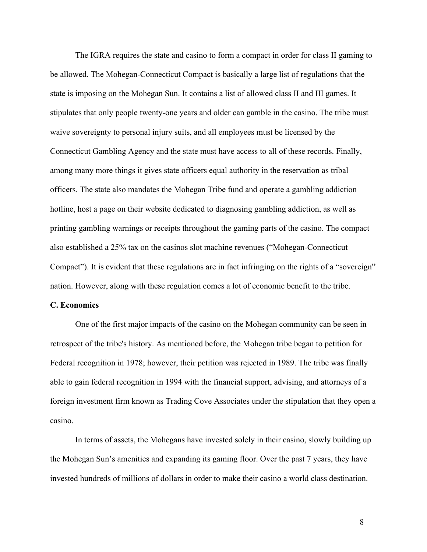The IGRA requires the state and casino to form a compact in order for class II gaming to be allowed. The Mohegan-Connecticut Compact is basically a large list of regulations that the state is imposing on the Mohegan Sun. It contains a list of allowed class II and III games. It stipulates that only people twenty-one years and older can gamble in the casino. The tribe must waive sovereignty to personal injury suits, and all employees must be licensed by the Connecticut Gambling Agency and the state must have access to all of these records. Finally, among many more things it gives state officers equal authority in the reservation as tribal officers. The state also mandates the Mohegan Tribe fund and operate a gambling addiction hotline, host a page on their website dedicated to diagnosing gambling addiction, as well as printing gambling warnings or receipts throughout the gaming parts of the casino. The compact also established a 25% tax on the casinos slot machine revenues ("Mohegan-Connecticut Compact"). It is evident that these regulations are in fact infringing on the rights of a "sovereign" nation. However, along with these regulation comes a lot of economic benefit to the tribe.

# **C. Economics**

One of the first major impacts of the casino on the Mohegan community can be seen in retrospect of the tribe's history. As mentioned before, the Mohegan tribe began to petition for Federal recognition in 1978; however, their petition was rejected in 1989. The tribe was finally able to gain federal recognition in 1994 with the financial support, advising, and attorneys of a foreign investment firm known as Trading Cove Associates under the stipulation that they open a casino.

In terms of assets, the Mohegans have invested solely in their casino, slowly building up the Mohegan Sun's amenities and expanding its gaming floor. Over the past 7 years, they have invested hundreds of millions of dollars in order to make their casino a world class destination.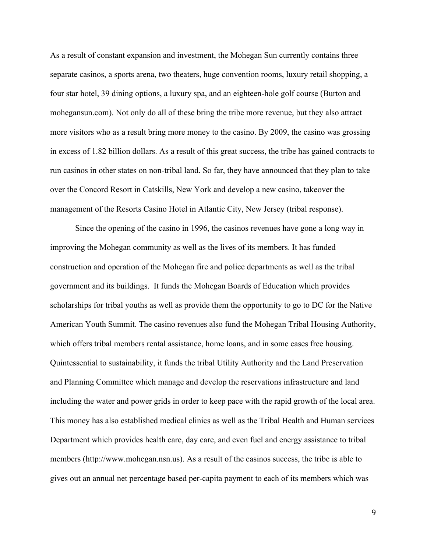As a result of constant expansion and investment, the Mohegan Sun currently contains three separate casinos, a sports arena, two theaters, huge convention rooms, luxury retail shopping, a four star hotel, 39 dining options, a luxury spa, and an eighteen-hole golf course (Burton and mohegansun.com). Not only do all of these bring the tribe more revenue, but they also attract more visitors who as a result bring more money to the casino. By 2009, the casino was grossing in excess of 1.82 billion dollars. As a result of this great success, the tribe has gained contracts to run casinos in other states on non-tribal land. So far, they have announced that they plan to take over the Concord Resort in Catskills, New York and develop a new casino, takeover the management of the Resorts Casino Hotel in Atlantic City, New Jersey (tribal response).

Since the opening of the casino in 1996, the casinos revenues have gone a long way in improving the Mohegan community as well as the lives of its members. It has funded construction and operation of the Mohegan fire and police departments as well as the tribal government and its buildings. It funds the Mohegan Boards of Education which provides scholarships for tribal youths as well as provide them the opportunity to go to DC for the Native American Youth Summit. The casino revenues also fund the Mohegan Tribal Housing Authority, which offers tribal members rental assistance, home loans, and in some cases free housing. Quintessential to sustainability, it funds the tribal Utility Authority and the Land Preservation and Planning Committee which manage and develop the reservations infrastructure and land including the water and power grids in order to keep pace with the rapid growth of the local area. This money has also established medical clinics as well as the Tribal Health and Human services Department which provides health care, day care, and even fuel and energy assistance to tribal members (http://www.mohegan.nsn.us). As a result of the casinos success, the tribe is able to gives out an annual net percentage based per-capita payment to each of its members which was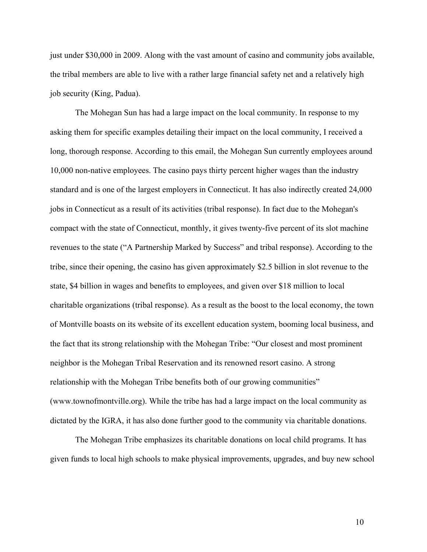just under \$30,000 in 2009. Along with the vast amount of casino and community jobs available, the tribal members are able to live with a rather large financial safety net and a relatively high job security (King, Padua).

The Mohegan Sun has had a large impact on the local community. In response to my asking them for specific examples detailing their impact on the local community, I received a long, thorough response. According to this email, the Mohegan Sun currently employees around 10,000 non-native employees. The casino pays thirty percent higher wages than the industry standard and is one of the largest employers in Connecticut. It has also indirectly created 24,000 jobs in Connecticut as a result of its activities (tribal response). In fact due to the Mohegan's compact with the state of Connecticut, monthly, it gives twenty-five percent of its slot machine revenues to the state ("A Partnership Marked by Success" and tribal response). According to the tribe, since their opening, the casino has given approximately \$2.5 billion in slot revenue to the state, \$4 billion in wages and benefits to employees, and given over \$18 million to local charitable organizations (tribal response). As a result as the boost to the local economy, the town of Montville boasts on its website of its excellent education system, booming local business, and the fact that its strong relationship with the Mohegan Tribe: "Our closest and most prominent neighbor is the Mohegan Tribal Reservation and its renowned resort casino. A strong relationship with the Mohegan Tribe benefits both of our growing communities" (www.townofmontville.org). While the tribe has had a large impact on the local community as dictated by the IGRA, it has also done further good to the community via charitable donations.

The Mohegan Tribe emphasizes its charitable donations on local child programs. It has given funds to local high schools to make physical improvements, upgrades, and buy new school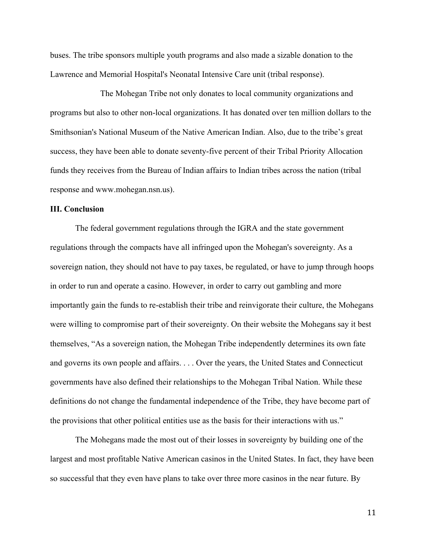buses. The tribe sponsors multiple youth programs and also made a sizable donation to the Lawrence and Memorial Hospital's Neonatal Intensive Care unit (tribal response).

The Mohegan Tribe not only donates to local community organizations and programs but also to other non-local organizations. It has donated over ten million dollars to the Smithsonian's National Museum of the Native American Indian. Also, due to the tribe's great success, they have been able to donate seventy-five percent of their Tribal Priority Allocation funds they receives from the Bureau of Indian affairs to Indian tribes across the nation (tribal response and www.mohegan.nsn.us).

## **III. Conclusion**

The federal government regulations through the IGRA and the state government regulations through the compacts have all infringed upon the Mohegan's sovereignty. As a sovereign nation, they should not have to pay taxes, be regulated, or have to jump through hoops in order to run and operate a casino. However, in order to carry out gambling and more importantly gain the funds to re-establish their tribe and reinvigorate their culture, the Mohegans were willing to compromise part of their sovereignty. On their website the Mohegans say it best themselves, "As a sovereign nation, the Mohegan Tribe independently determines its own fate and governs its own people and affairs. . . . Over the years, the United States and Connecticut governments have also defined their relationships to the Mohegan Tribal Nation. While these definitions do not change the fundamental independence of the Tribe, they have become part of the provisions that other political entities use as the basis for their interactions with us."

The Mohegans made the most out of their losses in sovereignty by building one of the largest and most profitable Native American casinos in the United States. In fact, they have been so successful that they even have plans to take over three more casinos in the near future. By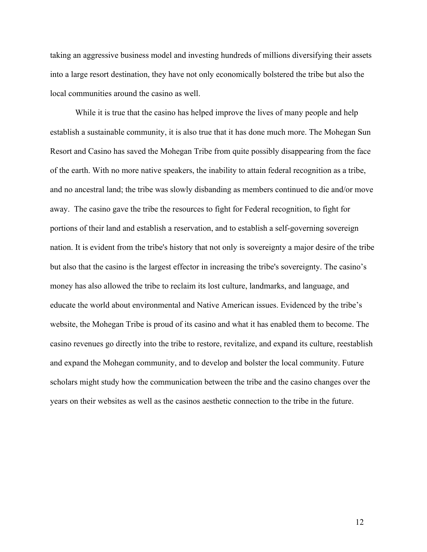taking an aggressive business model and investing hundreds of millions diversifying their assets into a large resort destination, they have not only economically bolstered the tribe but also the local communities around the casino as well.

While it is true that the casino has helped improve the lives of many people and help establish a sustainable community, it is also true that it has done much more. The Mohegan Sun Resort and Casino has saved the Mohegan Tribe from quite possibly disappearing from the face of the earth. With no more native speakers, the inability to attain federal recognition as a tribe, and no ancestral land; the tribe was slowly disbanding as members continued to die and/or move away. The casino gave the tribe the resources to fight for Federal recognition, to fight for portions of their land and establish a reservation, and to establish a self-governing sovereign nation. It is evident from the tribe's history that not only is sovereignty a major desire of the tribe but also that the casino is the largest effector in increasing the tribe's sovereignty. The casino's money has also allowed the tribe to reclaim its lost culture, landmarks, and language, and educate the world about environmental and Native American issues. Evidenced by the tribe's website, the Mohegan Tribe is proud of its casino and what it has enabled them to become. The casino revenues go directly into the tribe to restore, revitalize, and expand its culture, reestablish and expand the Mohegan community, and to develop and bolster the local community. Future scholars might study how the communication between the tribe and the casino changes over the years on their websites as well as the casinos aesthetic connection to the tribe in the future.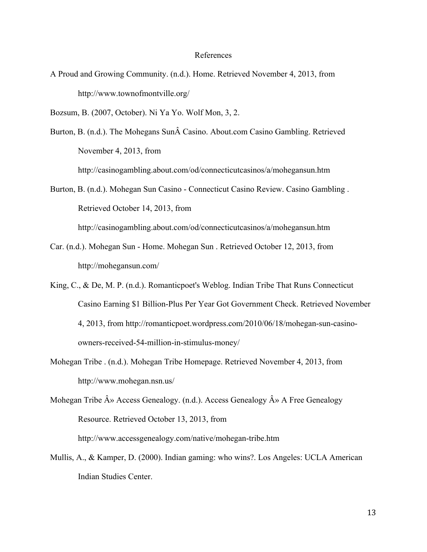#### References

A Proud and Growing Community. (n.d.). Home. Retrieved November 4, 2013, from http://www.townofmontville.org/

Bozsum, B. (2007, October). Ni Ya Yo. Wolf Mon, 3, 2.

Burton, B. (n.d.). The Mohegans SunÂ Casino. About.com Casino Gambling. Retrieved November 4, 2013, from

http://casinogambling.about.com/od/connecticutcasinos/a/mohegansun.htm

Burton, B. (n.d.). Mohegan Sun Casino - Connecticut Casino Review. Casino Gambling . Retrieved October 14, 2013, from

http://casinogambling.about.com/od/connecticutcasinos/a/mohegansun.htm

- Car. (n.d.). Mohegan Sun Home. Mohegan Sun . Retrieved October 12, 2013, from http://mohegansun.com/
- King, C., & De, M. P. (n.d.). Romanticpoet's Weblog. Indian Tribe That Runs Connecticut Casino Earning \$1 Billion-Plus Per Year Got Government Check. Retrieved November 4, 2013, from http://romanticpoet.wordpress.com/2010/06/18/mohegan-sun-casinoowners-received-54-million-in-stimulus-money/
- Mohegan Tribe . (n.d.). Mohegan Tribe Homepage. Retrieved November 4, 2013, from http://www.mohegan.nsn.us/

Mohegan Tribe  $\hat{A}$ » Access Genealogy. (n.d.). Access Genealogy  $\hat{A}$ » A Free Genealogy Resource. Retrieved October 13, 2013, from http://www.accessgenealogy.com/native/mohegan-tribe.htm

Mullis, A., & Kamper, D. (2000). Indian gaming: who wins?. Los Angeles: UCLA American Indian Studies Center.